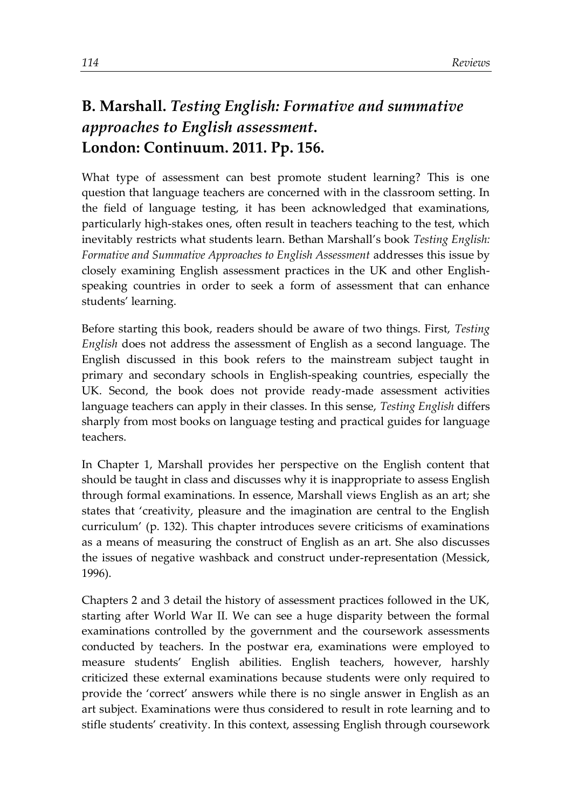## **B. Marshall.** *Testing English: Formative and summative approaches to English assessment***. London: Continuum. 2011. Pp. 156.**

What type of assessment can best promote student learning? This is one question that language teachers are concerned with in the classroom setting. In the field of language testing, it has been acknowledged that examinations, particularly high-stakes ones, often result in teachers teaching to the test, which inevitably restricts what students learn. Bethan Marshall's book *Testing English: Formative and Summative Approaches to English Assessment* addresses this issue by closely examining English assessment practices in the UK and other Englishspeaking countries in order to seek a form of assessment that can enhance students' learning.

Before starting this book, readers should be aware of two things. First, *Testing English* does not address the assessment of English as a second language. The English discussed in this book refers to the mainstream subject taught in primary and secondary schools in English-speaking countries, especially the UK. Second, the book does not provide ready-made assessment activities language teachers can apply in their classes. In this sense, *Testing English* differs sharply from most books on language testing and practical guides for language teachers.

In Chapter 1, Marshall provides her perspective on the English content that should be taught in class and discusses why it is inappropriate to assess English through formal examinations. In essence, Marshall views English as an art; she states that 'creativity, pleasure and the imagination are central to the English curriculum' (p. 132). This chapter introduces severe criticisms of examinations as a means of measuring the construct of English as an art. She also discusses the issues of negative washback and construct under-representation (Messick, 1996).

Chapters 2 and 3 detail the history of assessment practices followed in the UK, starting after World War II. We can see a huge disparity between the formal examinations controlled by the government and the coursework assessments conducted by teachers. In the postwar era, examinations were employed to measure students' English abilities. English teachers, however, harshly criticized these external examinations because students were only required to provide the 'correct' answers while there is no single answer in English as an art subject. Examinations were thus considered to result in rote learning and to stifle students' creativity. In this context, assessing English through coursework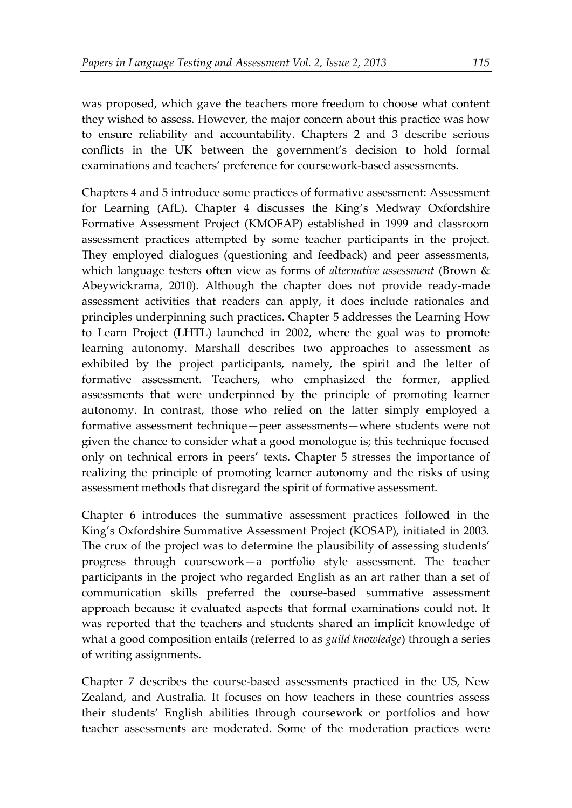was proposed, which gave the teachers more freedom to choose what content they wished to assess. However, the major concern about this practice was how to ensure reliability and accountability. Chapters 2 and 3 describe serious conflicts in the UK between the government's decision to hold formal examinations and teachers' preference for coursework-based assessments.

Chapters 4 and 5 introduce some practices of formative assessment: Assessment for Learning (AfL). Chapter 4 discusses the King's Medway Oxfordshire Formative Assessment Project (KMOFAP) established in 1999 and classroom assessment practices attempted by some teacher participants in the project. They employed dialogues (questioning and feedback) and peer assessments, which language testers often view as forms of *alternative assessment* (Brown & Abeywickrama, 2010). Although the chapter does not provide ready-made assessment activities that readers can apply, it does include rationales and principles underpinning such practices. Chapter 5 addresses the Learning How to Learn Project (LHTL) launched in 2002, where the goal was to promote learning autonomy. Marshall describes two approaches to assessment as exhibited by the project participants, namely, the spirit and the letter of formative assessment. Teachers, who emphasized the former, applied assessments that were underpinned by the principle of promoting learner autonomy. In contrast, those who relied on the latter simply employed a formative assessment technique—peer assessments—where students were not given the chance to consider what a good monologue is; this technique focused only on technical errors in peers' texts. Chapter 5 stresses the importance of realizing the principle of promoting learner autonomy and the risks of using assessment methods that disregard the spirit of formative assessment.

Chapter 6 introduces the summative assessment practices followed in the King's Oxfordshire Summative Assessment Project (KOSAP), initiated in 2003. The crux of the project was to determine the plausibility of assessing students' progress through coursework—a portfolio style assessment. The teacher participants in the project who regarded English as an art rather than a set of communication skills preferred the course-based summative assessment approach because it evaluated aspects that formal examinations could not. It was reported that the teachers and students shared an implicit knowledge of what a good composition entails (referred to as *guild knowledge*) through a series of writing assignments.

Chapter 7 describes the course-based assessments practiced in the US, New Zealand, and Australia. It focuses on how teachers in these countries assess their students' English abilities through coursework or portfolios and how teacher assessments are moderated. Some of the moderation practices were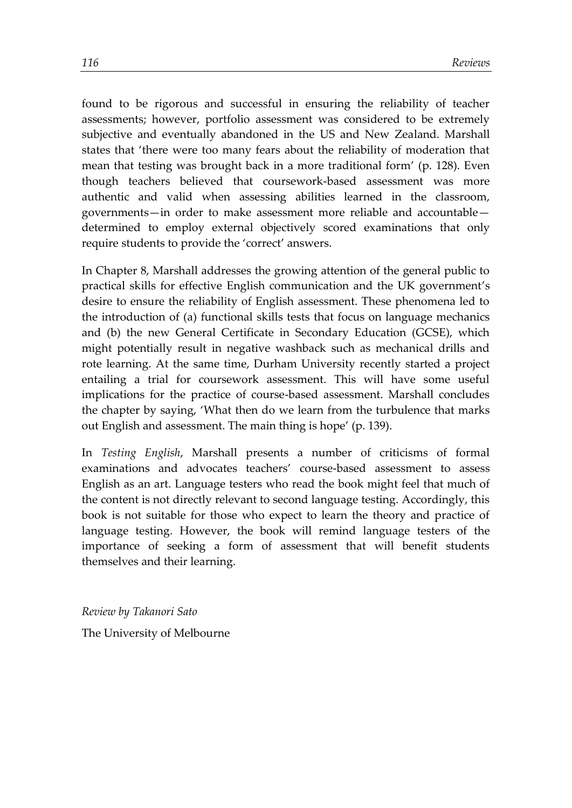found to be rigorous and successful in ensuring the reliability of teacher assessments; however, portfolio assessment was considered to be extremely subjective and eventually abandoned in the US and New Zealand. Marshall states that 'there were too many fears about the reliability of moderation that mean that testing was brought back in a more traditional form' (p. 128). Even though teachers believed that coursework-based assessment was more authentic and valid when assessing abilities learned in the classroom, governments—in order to make assessment more reliable and accountable determined to employ external objectively scored examinations that only require students to provide the 'correct' answers.

In Chapter 8, Marshall addresses the growing attention of the general public to practical skills for effective English communication and the UK government's desire to ensure the reliability of English assessment. These phenomena led to the introduction of (a) functional skills tests that focus on language mechanics and (b) the new General Certificate in Secondary Education (GCSE), which might potentially result in negative washback such as mechanical drills and rote learning. At the same time, Durham University recently started a project entailing a trial for coursework assessment. This will have some useful implications for the practice of course-based assessment. Marshall concludes the chapter by saying, 'What then do we learn from the turbulence that marks out English and assessment. The main thing is hope' (p. 139).

In *Testing English*, Marshall presents a number of criticisms of formal examinations and advocates teachers' course-based assessment to assess English as an art. Language testers who read the book might feel that much of the content is not directly relevant to second language testing. Accordingly, this book is not suitable for those who expect to learn the theory and practice of language testing. However, the book will remind language testers of the importance of seeking a form of assessment that will benefit students themselves and their learning.

*Review by Takanori Sato* The University of Melbourne